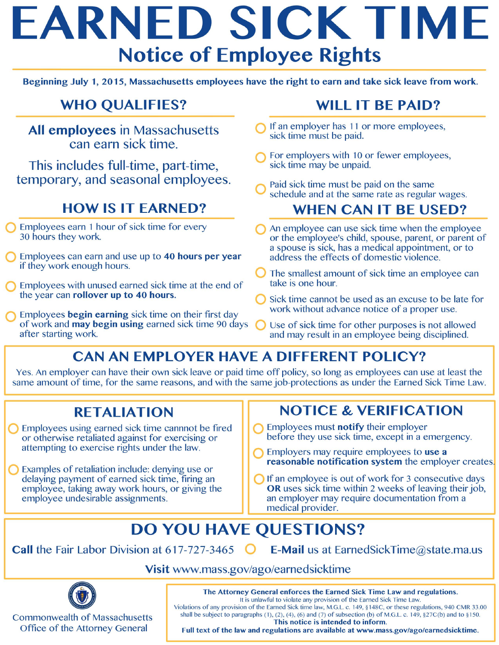# EARNED SICK TIME Notice of Employee Rights

Beginning July 1, 2015, Massachusetts employees have the right to earn and take sick leave from work.

# WHO QUALIFIES?<br>All employees in Massachusetts can earn sick time.

This includes full-time, part-time, temporary, and seasonal employees.

#### HOW IS IT EARNED?

- **Q** Employees earn 1 hour of sick time for every 30 hours they work.
- Employees can earn and use up to 40 hours per year if they work enough hours.
- Employees with unused earned sick time at the end of the year can rollover up to 40 hours.
- Employees begin earning sick time on their first day of work and may begin using earned sick time 90 days after starting work.

#### WILL IT BE PAID?

- If an employer has 11 or more employees, sick time must be paid.
- For employers with 10 or fewer employees, sick time may be unpaid.
- Paid sick time must be paid on the same schedule and at the same rate as regular wages.

#### WHEN CAN IT BE USED?

- An employee can use sick time when the employee or the employee's child, spouse, parent, or parent of a spouse is sick, has a medical appointment, or to address the effects of domestic violence.
- The smallest amount of sick time an employee can take is one hour.
- Sick time cannot be used as an excuse to be late for work without advance notice of a proper use.
- Use of sick time for other purposes is not allowed and may result in an employee being disciplined.

## CAN AN EMPLOYER HAVE A DIFFERENT POLICY?

Yes. An employer can have their own sick leave or paid time off policy, so long as employees can use at least the same amount of time, for the same reasons, and with the same job-protections as under the Earned Sick Time Law.

#### RETALIATION

Employees using earned sick time cannnot be fired or otherwise retaliated against for exercising or attempting to exercise rights under the law.

Examples of retaliation include: denying use or delaying payment of earned sick time, firing an employee, taking away work hours, or giving the employee undesirable assignments.

### NOTICE & VERIFICATION

- **C** Employees must **notify** their employer before they use sick time, except in a emergency.
- **C** Employers may require employees to use a reasonable notification system the employer creates.
- ◯ If an employee is out of work for 3 consecutive days OR uses sick time within 2 weeks of leaving their job, an employer may require documentation from a medical provider.

## DO YOU HAVE QUESTIONS?

Call the Fair Labor Division at 617-727-3465  $\bigcirc$  E-Mail us at Earned SickTime @state.ma.us

#### Visit www.mass.gov/ago/earnedsicktime



Commonwealth of Massachusetts Office of the Attorney General

The Attorney General enforces the Earned Sick Time Law and regulations. It is unlawful to violate any provision of the Earned Sick Time Law.

Violations of any provision of the Earned Sick time law, M.G.L. c. 149, § 148C, or these regulations, 940 CMR 33.00 shall be subject to paragraphs (1), (2), (4), (6) and (7) of subsection (b) of M.G.L. c. 149, §27C(b) and to § 150. This notice is intended to inform.

Full text of the law and regulations are available at www.mass.gov/ago/earnedsicktime.